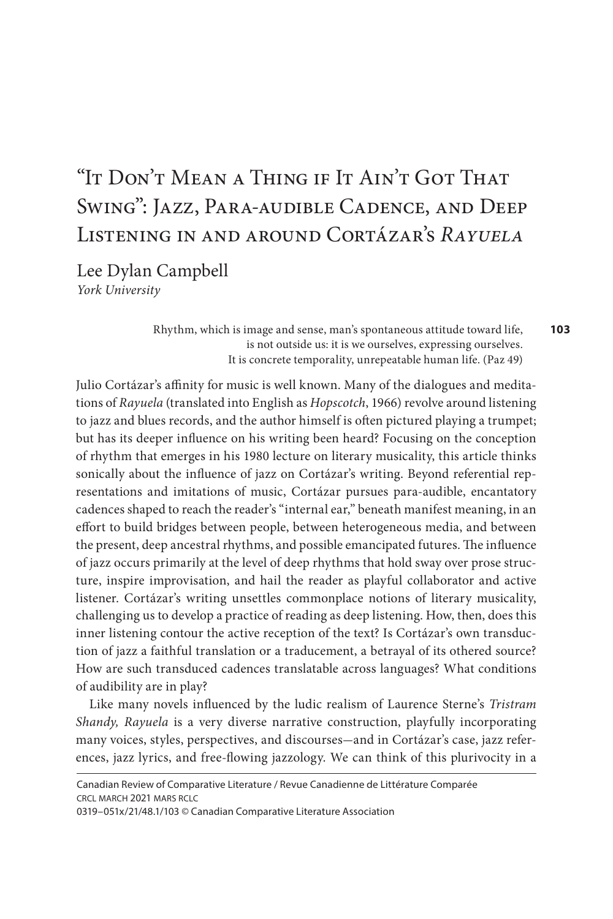# "It Don't Mean a Thing if It Ain't Got That Swing": Jazz, Para-audible Cadence, and Deep Listening in and around Cortázar's *Rayuela*

Lee Dylan Campbell *York University* 

#### Rhythm, which is image and sense, man's spontaneous attitude toward life, is not outside us: it is we ourselves, expressing ourselves. It is concrete temporality, unrepeatable human life. (Paz 49)

Julio Cortázar's affinity for music is well known. Many of the dialogues and meditations of *Rayuela* (translated into English as *Hopscotch*, 1966) revolve around listening to jazz and blues records, and the author himself is often pictured playing a trumpet; but has its deeper influence on his writing been heard? Focusing on the conception of rhythm that emerges in his 1980 lecture on literary musicality, this article thinks sonically about the influence of jazz on Cortázar's writing. Beyond referential representations and imitations of music, Cortázar pursues para-audible, encantatory cadences shaped to reach the reader's "internal ear," beneath manifest meaning, in an effort to build bridges between people, between heterogeneous media, and between the present, deep ancestral rhythms, and possible emancipated futures. The influence of jazz occurs primarily at the level of deep rhythms that hold sway over prose structure, inspire improvisation, and hail the reader as playful collaborator and active listener. Cortázar's writing unsettles commonplace notions of literary musicality, challenging us to develop a practice of reading as deep listening. How, then, does this inner listening contour the active reception of the text? Is Cortázar's own transduction of jazz a faithful translation or a traducement, a betrayal of its othered source? How are such transduced cadences translatable across languages? What conditions of audibility are in play?

Like many novels influenced by the ludic realism of Laurence Sterne's *Tristram Shandy, Rayuela* is a very diverse narrative construction, playfully incorporating many voices, styles, perspectives, and discourses-and in Cortázar's case, jazz references, jazz lyrics, and free-flowing jazzology. We can think of this plurivocity in a

0319–051x/21/48.1/103 © Canadian Comparative Literature Association

Canadian Review of Comparative Literature / Revue Canadienne de Littérature Comparée crcl march 2021 mars rclc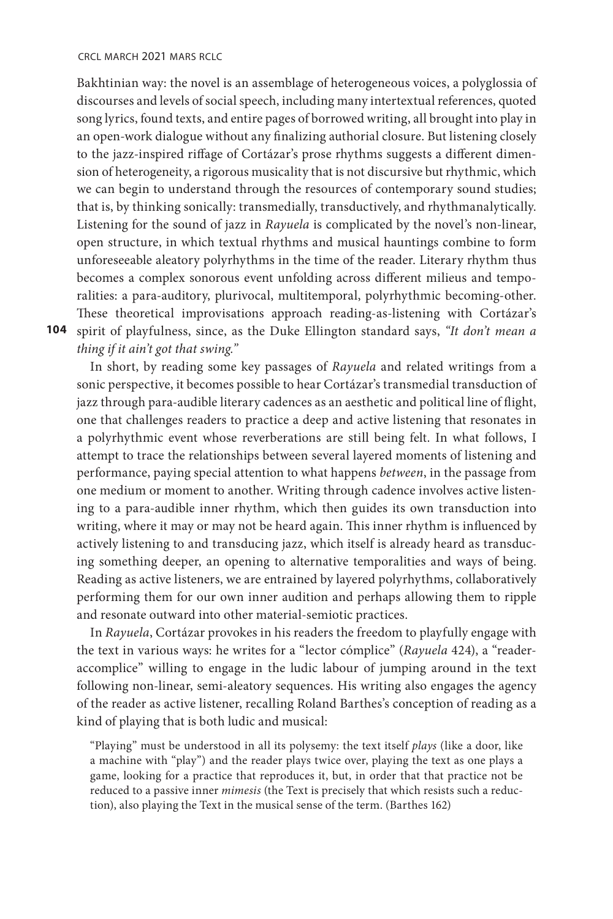**104**  spirit of playfulness, since, as the Duke Ellington standard says, *"It don't mean a*  Bakhtinian way: the novel is an assemblage of heterogeneous voices, a polyglossia of discourses and levels of social speech, including many intertextual references, quoted song lyrics, found texts, and entire pages of borrowed writing, all brought into play in an open-work dialogue without any finalizing authorial closure. But listening closely to the jazz-inspired riffage of Cortázar's prose rhythms suggests a different dimension of heterogeneity, a rigorous musicality that is not discursive but rhythmic, which we can begin to understand through the resources of contemporary sound studies; that is, by thinking sonically: transmedially, transductively, and rhythmanalytically. Listening for the sound of jazz in *Rayuela* is complicated by the novel's non-linear, open structure, in which textual rhythms and musical hauntings combine to form unforeseeable aleatory polyrhythms in the time of the reader. Literary rhythm thus becomes a complex sonorous event unfolding across different milieus and temporalities: a para-auditory, plurivocal, multitemporal, polyrhythmic becoming-other. These theoretical improvisations approach reading-as-listening with Cortázar's *thing if it ain't got that swing."*

In short, by reading some key passages of *Rayuela* and related writings from a sonic perspective, it becomes possible to hear Cortázar's transmedial transduction of jazz through para-audible literary cadences as an aesthetic and political line of flight, one that challenges readers to practice a deep and active listening that resonates in a polyrhythmic event whose reverberations are still being felt. In what follows, I attempt to trace the relationships between several layered moments of listening and performance, paying special attention to what happens *between*, in the passage from one medium or moment to another. Writing through cadence involves active listening to a para-audible inner rhythm, which then guides its own transduction into writing, where it may or may not be heard again. This inner rhythm is influenced by actively listening to and transducing jazz, which itself is already heard as transducing something deeper, an opening to alternative temporalities and ways of being. Reading as active listeners, we are entrained by layered polyrhythms, collaboratively performing them for our own inner audition and perhaps allowing them to ripple and resonate outward into other material-semiotic practices.

In *Rayuela*, Cortázar provokes in his readers the freedom to playfully engage with the text in various ways: he writes for a "lector cómplice" (*Rayuela* 424), a "readeraccomplice" willing to engage in the ludic labour of jumping around in the text following non-linear, semi-aleatory sequences. His writing also engages the agency of the reader as active listener, recalling Roland Barthes's conception of reading as a kind of playing that is both ludic and musical:

"Playing" must be understood in all its polysemy: the text itself *plays* (like a door, like a machine with "play") and the reader plays twice over, playing the text as one plays a game, looking for a practice that reproduces it, but, in order that that practice not be reduced to a passive inner *mimesis* (the Text is precisely that which resists such a reduction), also playing the Text in the musical sense of the term. (Barthes 162)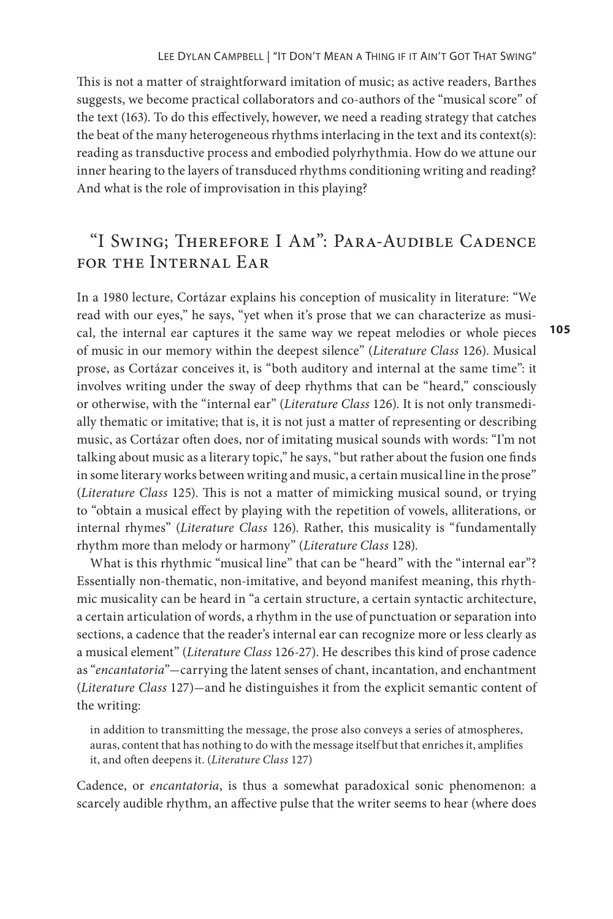This is not a matter of straightforward imitation of music; as active readers, Barthes suggests, we become practical collaborators and co-authors of the "musical score" of the text (163). To do this effectively, however, we need a reading strategy that catches the beat of the many heterogeneous rhythms interlacing in the text and its context(s): reading as transductive process and embodied polyrhythmia. How do we attune our inner hearing to the layers of transduced rhythms conditioning writing and reading? And what is the role of improvisation in this playing?

## "I Swing; Therefore I Am": Para-Audible Cadence for the Internal Ear

In a 1980 lecture, Cortázar explains his conception of musicality in literature: "We read with our eyes," he says, "yet when it's prose that we can characterize as musical, the internal ear captures it the same way we repeat melodies or whole pieces of music in our memory within the deepest silence" (*Literature Class* 126). Musical prose, as Cortázar conceives it, is "both auditory and internal at the same time": it involves writing under the sway of deep rhythms that can be "heard," consciously or otherwise, with the "internal ear" (*Literature Class* 126). It is not only transmedially thematic or imitative; that is, it is not just a matter of representing or describing music, as Cortázar often does, nor of imitating musical sounds with words: "I'm not talking about music as a literary topic," he says, "but rather about the fusion one finds in some literary works between writing and music, a certain musical line in the prose" (*Literature Class* 125). This is not a matter of mimicking musical sound, or trying to "obtain a musical effect by playing with the repetition of vowels, alliterations, or internal rhymes" (*Literature Class* 126). Rather, this musicality is "fundamentally rhythm more than melody or harmony" (*Literature Class* 128).

What is this rhythmic "musical line" that can be "heard" with the "internal ear"? Essentially non-thematic, non-imitative, and beyond manifest meaning, this rhythmic musicality can be heard in "a certain structure, a certain syntactic architecture, a certain articulation of words, a rhythm in the use of punctuation or separation into sections, a cadence that the reader's internal ear can recognize more or less clearly as a musical element" (*Literature Class* 126-27). He describes this kind of prose cadence as "*encantatoria*"-carrying the latent senses of chant, incantation, and enchantment (*Literature Class* 127)-and he distinguishes it from the explicit semantic content of the writing:

in addition to transmitting the message, the prose also conveys a series of atmospheres, auras, content that has nothing to do with the message itself but that enriches it, amplifies it, and often deepens it. (*Literature Class* 127)

Cadence, or *encantatoria*, is thus a somewhat paradoxical sonic phenomenon: a scarcely audible rhythm, an affective pulse that the writer seems to hear (where does

**105**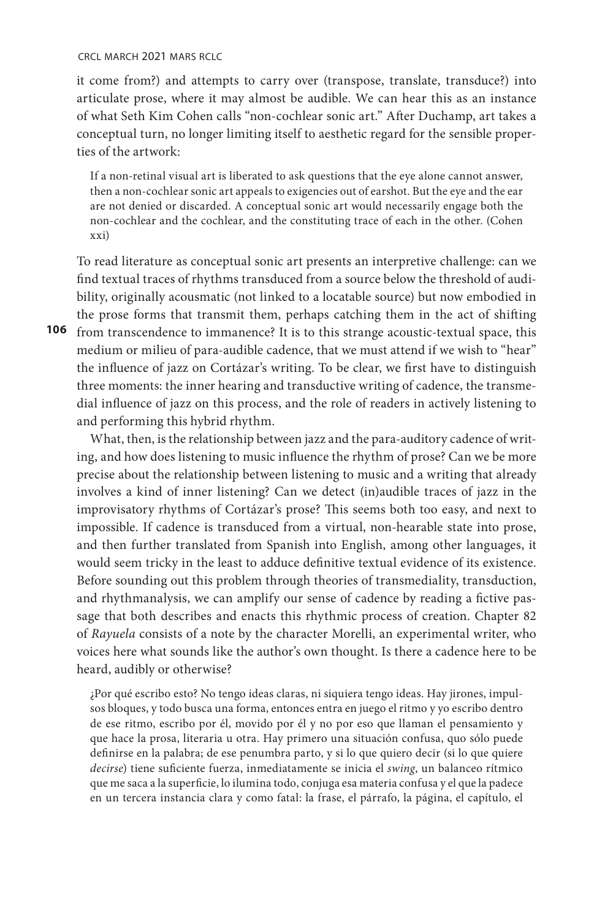it come from?) and attempts to carry over (transpose, translate, transduce?) into articulate prose, where it may almost be audible. We can hear this as an instance of what Seth Kim Cohen calls "non-cochlear sonic art." After Duchamp, art takes a conceptual turn, no longer limiting itself to aesthetic regard for the sensible properties of the artwork:

If a non-retinal visual art is liberated to ask questions that the eye alone cannot answer, then a non-cochlear sonic art appeals to exigencies out of earshot. But the eye and the ear are not denied or discarded. A conceptual sonic art would necessarily engage both the non-cochlear and the cochlear, and the constituting trace of each in the other. (Cohen xxi)

**106**  from transcendence to immanence? It is to this strange acoustic-textual space, this To read literature as conceptual sonic art presents an interpretive challenge: can we find textual traces of rhythms transduced from a source below the threshold of audibility, originally acousmatic (not linked to a locatable source) but now embodied in the prose forms that transmit them, perhaps catching them in the act of shifting medium or milieu of para-audible cadence, that we must attend if we wish to "hear" the influence of jazz on Cortázar's writing. To be clear, we first have to distinguish three moments: the inner hearing and transductive writing of cadence, the transmedial influence of jazz on this process, and the role of readers in actively listening to and performing this hybrid rhythm.

What, then, is the relationship between jazz and the para-auditory cadence of writing, and how does listening to music influence the rhythm of prose? Can we be more precise about the relationship between listening to music and a writing that already involves a kind of inner listening? Can we detect (in)audible traces of jazz in the improvisatory rhythms of Cortázar's prose? This seems both too easy, and next to impossible. If cadence is transduced from a virtual, non-hearable state into prose, and then further translated from Spanish into English, among other languages, it would seem tricky in the least to adduce definitive textual evidence of its existence. Before sounding out this problem through theories of transmediality, transduction, and rhythmanalysis, we can amplify our sense of cadence by reading a fictive passage that both describes and enacts this rhythmic process of creation. Chapter 82 of *Rayuela* consists of a note by the character Morelli, an experimental writer, who voices here what sounds like the author's own thought. Is there a cadence here to be heard, audibly or otherwise?

¿Por qué escribo esto? No tengo ideas claras, ni siquiera tengo ideas. Hay jirones, impulsos bloques, y todo busca una forma, entonces entra en juego el ritmo y yo escribo dentro de ese ritmo, escribo por él, movido por él y no por eso que llaman el pensamiento y que hace la prosa, literaria u otra. Hay primero una situación confusa, quo sólo puede definirse en la palabra; de ese penumbra parto, y si lo que quiero decir (si lo que quiere *decirse*) tiene suficiente fuerza, inmediatamente se inicia el *swing*, un balanceo rítmico que me saca a la superficie, lo ilumina todo, conjuga esa materia confusa y el que la padece en un tercera instancia clara y como fatal: la frase, el párrafo, la página, el capítulo, el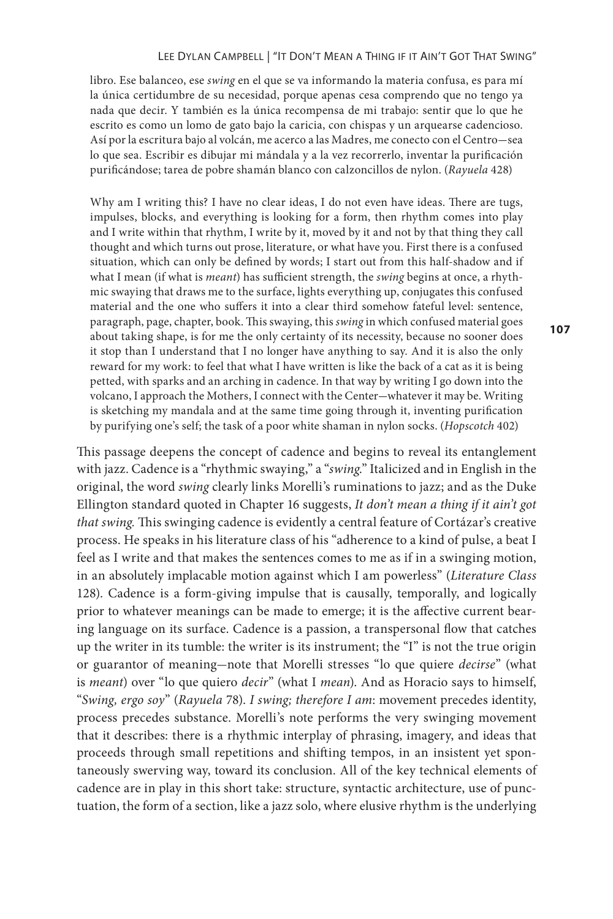libro. Ese balanceo, ese *swing* en el que se va informando la materia confusa, es para mí la única certidumbre de su necesidad, porque apenas cesa comprendo que no tengo ya nada que decir. Y también es la única recompensa de mi trabajo: sentir que lo que he escrito es como un lomo de gato bajo la caricia, con chispas y un arquearse cadencioso. Así por la escritura bajo al volcán, me acerco a las Madres, me conecto con el Centro-sea lo que sea. Escribir es dibujar mi mándala y a la vez recorrerlo, inventar la purificación purificándose; tarea de pobre shamán blanco con calzoncillos de nylon. (*Rayuela* 428)

Why am I writing this? I have no clear ideas, I do not even have ideas. There are tugs, impulses, blocks, and everything is looking for a form, then rhythm comes into play and I write within that rhythm, I write by it, moved by it and not by that thing they call thought and which turns out prose, literature, or what have you. First there is a confused situation, which can only be defined by words; I start out from this half-shadow and if what I mean (if what is *meant*) has sufficient strength, the *swing* begins at once, a rhythmic swaying that draws me to the surface, lights everything up, conjugates this confused material and the one who suffers it into a clear third somehow fateful level: sentence, paragraph, page, chapter, book. This swaying, this *swing* in which confused material goes about taking shape, is for me the only certainty of its necessity, because no sooner does it stop than I understand that I no longer have anything to say. And it is also the only reward for my work: to feel that what I have written is like the back of a cat as it is being petted, with sparks and an arching in cadence. In that way by writing I go down into the volcano, I approach the Mothers, I connect with the Center-whatever it may be. Writing is sketching my mandala and at the same time going through it, inventing purification by purifying one's self; the task of a poor white shaman in nylon socks. (*Hopscotch* 402)

This passage deepens the concept of cadence and begins to reveal its entanglement with jazz. Cadence is a "rhythmic swaying," a "*swing*." Italicized and in English in the original, the word *swing* clearly links Morelli's ruminations to jazz; and as the Duke Ellington standard quoted in Chapter 16 suggests, *It don't mean a thing if it ain't got that swing.* This swinging cadence is evidently a central feature of Cortázar's creative process. He speaks in his literature class of his "adherence to a kind of pulse, a beat I feel as I write and that makes the sentences comes to me as if in a swinging motion, in an absolutely implacable motion against which I am powerless" (*Literature Class*  128). Cadence is a form-giving impulse that is causally, temporally, and logically prior to whatever meanings can be made to emerge; it is the affective current bearing language on its surface. Cadence is a passion, a transpersonal flow that catches up the writer in its tumble: the writer is its instrument; the "I" is not the true origin or guarantor of meaning-note that Morelli stresses "lo que quiere *decirse*" (what is *meant*) over "lo que quiero *decir*" (what I *mean*). And as Horacio says to himself, "*Swing, ergo soy*" (*Rayuela* 78). *I swing; therefore I am*: movement precedes identity, process precedes substance. Morelli's note performs the very swinging movement that it describes: there is a rhythmic interplay of phrasing, imagery, and ideas that proceeds through small repetitions and shifting tempos, in an insistent yet spontaneously swerving way, toward its conclusion. All of the key technical elements of cadence are in play in this short take: structure, syntactic architecture, use of punctuation, the form of a section, like a jazz solo, where elusive rhythm is the underlying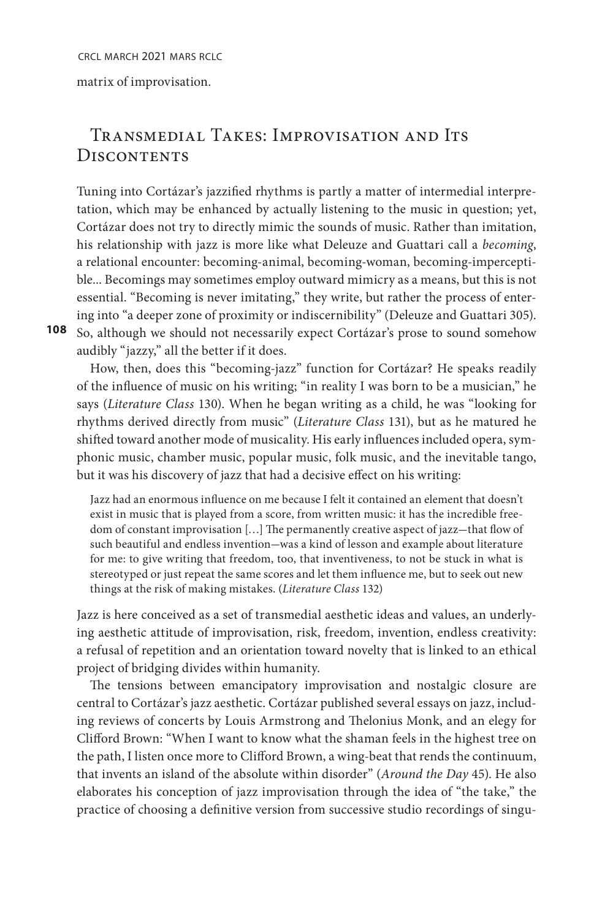matrix of improvisation.

# Transmedial Takes: Improvisation and Its **DISCONTENTS**

**108**  So, although we should not necessarily expect Cortázar's prose to sound somehow Tuning into Cortázar's jazzified rhythms is partly a matter of intermedial interpretation, which may be enhanced by actually listening to the music in question; yet, Cortázar does not try to directly mimic the sounds of music. Rather than imitation, his relationship with jazz is more like what Deleuze and Guattari call a *becoming*, a relational encounter: becoming-animal, becoming-woman, becoming-imperceptible... Becomings may sometimes employ outward mimicry as a means, but this is not essential. "Becoming is never imitating," they write, but rather the process of entering into "a deeper zone of proximity or indiscernibility" (Deleuze and Guattari 305). audibly "jazzy," all the better if it does.

How, then, does this "becoming-jazz" function for Cortázar? He speaks readily of the influence of music on his writing; "in reality I was born to be a musician," he says (*Literature Class* 130). When he began writing as a child, he was "looking for rhythms derived directly from music" (*Literature Class* 131), but as he matured he shifted toward another mode of musicality. His early influences included opera, symphonic music, chamber music, popular music, folk music, and the inevitable tango, but it was his discovery of jazz that had a decisive effect on his writing:

Jazz had an enormous influence on me because I felt it contained an element that doesn't exist in music that is played from a score, from written music: it has the incredible freedom of constant improvisation […] The permanently creative aspect of jazz-that flow of such beautiful and endless invention-was a kind of lesson and example about literature for me: to give writing that freedom, too, that inventiveness, to not be stuck in what is stereotyped or just repeat the same scores and let them influence me, but to seek out new things at the risk of making mistakes. (*Literature Class* 132)

Jazz is here conceived as a set of transmedial aesthetic ideas and values, an underlying aesthetic attitude of improvisation, risk, freedom, invention, endless creativity: a refusal of repetition and an orientation toward novelty that is linked to an ethical project of bridging divides within humanity.

The tensions between emancipatory improvisation and nostalgic closure are central to Cortázar's jazz aesthetic. Cortázar published several essays on jazz, including reviews of concerts by Louis Armstrong and Thelonius Monk, and an elegy for Clifford Brown: "When I want to know what the shaman feels in the highest tree on the path, I listen once more to Clifford Brown, a wing-beat that rends the continuum, that invents an island of the absolute within disorder" (*Around the Day* 45). He also elaborates his conception of jazz improvisation through the idea of "the take," the practice of choosing a definitive version from successive studio recordings of singu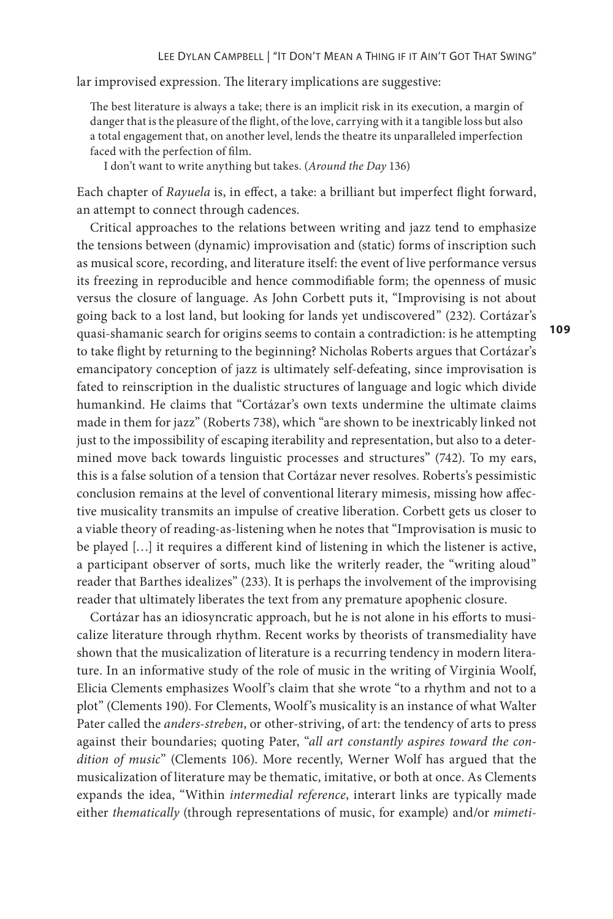lar improvised expression. The literary implications are suggestive:

The best literature is always a take; there is an implicit risk in its execution, a margin of danger that is the pleasure of the flight, of the love, carrying with it a tangible loss but also a total engagement that, on another level, lends the theatre its unparalleled imperfection faced with the perfection of film.

I don't want to write anything but takes. (*Around the Day* 136)

Each chapter of *Rayuela* is, in effect, a take: a brilliant but imperfect flight forward, an attempt to connect through cadences.

Critical approaches to the relations between writing and jazz tend to emphasize the tensions between (dynamic) improvisation and (static) forms of inscription such as musical score, recording, and literature itself: the event of live performance versus its freezing in reproducible and hence commodifiable form; the openness of music versus the closure of language. As John Corbett puts it, "Improvising is not about going back to a lost land, but looking for lands yet undiscovered" (232). Cortázar's quasi-shamanic search for origins seems to contain a contradiction: is he attempting to take flight by returning to the beginning? Nicholas Roberts argues that Cortázar's emancipatory conception of jazz is ultimately self-defeating, since improvisation is fated to reinscription in the dualistic structures of language and logic which divide humankind. He claims that "Cortázar's own texts undermine the ultimate claims made in them for jazz" (Roberts 738), which "are shown to be inextricably linked not just to the impossibility of escaping iterability and representation, but also to a determined move back towards linguistic processes and structures" (742). To my ears, this is a false solution of a tension that Cortázar never resolves. Roberts's pessimistic conclusion remains at the level of conventional literary mimesis, missing how affective musicality transmits an impulse of creative liberation. Corbett gets us closer to a viable theory of reading-as-listening when he notes that "Improvisation is music to be played […] it requires a different kind of listening in which the listener is active, a participant observer of sorts, much like the writerly reader, the "writing aloud" reader that Barthes idealizes" (233). It is perhaps the involvement of the improvising reader that ultimately liberates the text from any premature apophenic closure.

Cortázar has an idiosyncratic approach, but he is not alone in his efforts to musicalize literature through rhythm. Recent works by theorists of transmediality have shown that the musicalization of literature is a recurring tendency in modern literature. In an informative study of the role of music in the writing of Virginia Woolf, Elicia Clements emphasizes Woolf's claim that she wrote "to a rhythm and not to a plot" (Clements 190). For Clements, Woolf's musicality is an instance of what Walter Pater called the *anders-streben*, or other-striving, of art: the tendency of arts to press against their boundaries; quoting Pater, "*all art constantly aspires toward the condition of music*" (Clements 106). More recently, Werner Wolf has argued that the musicalization of literature may be thematic, imitative, or both at once. As Clements expands the idea, "Within *intermedial reference*, interart links are typically made either *thematically* (through representations of music, for example) and/or *mimeti-*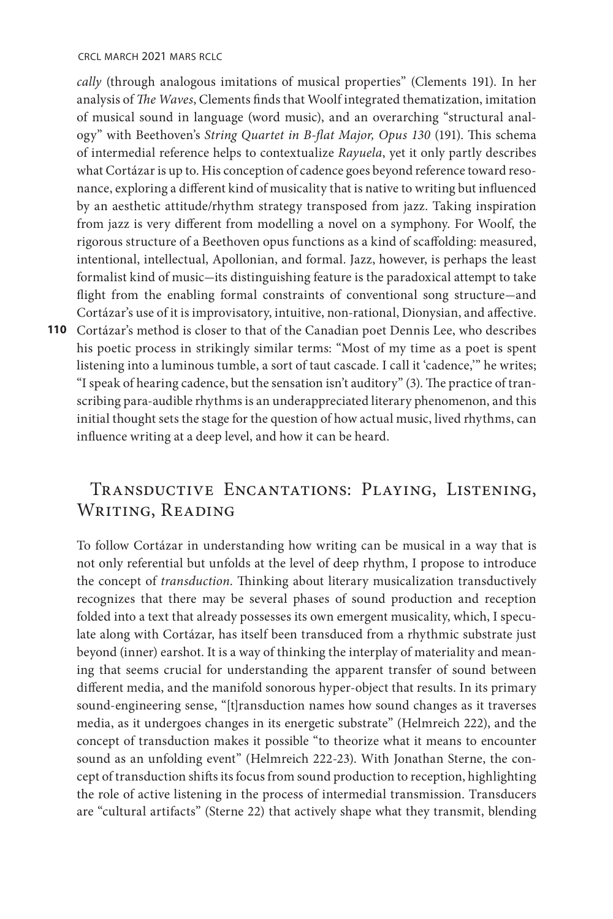*cally* (through analogous imitations of musical properties" (Clements 191). In her analysis of *The Waves*, Clements finds that Woolf integrated thematization, imitation of musical sound in language (word music), and an overarching "structural analogy" with Beethoven's *String Quartet in B-flat Major, Opus 130* (191). This schema of intermedial reference helps to contextualize *Rayuela*, yet it only partly describes what Cortázar is up to. His conception of cadence goes beyond reference toward resonance, exploring a different kind of musicality that is native to writing but influenced by an aesthetic attitude/rhythm strategy transposed from jazz. Taking inspiration from jazz is very different from modelling a novel on a symphony. For Woolf, the rigorous structure of a Beethoven opus functions as a kind of scaffolding: measured, intentional, intellectual, Apollonian, and formal. Jazz, however, is perhaps the least formalist kind of music-its distinguishing feature is the paradoxical attempt to take flight from the enabling formal constraints of conventional song structure-and Cortázar's use of it is improvisatory, intuitive, non-rational, Dionysian, and affective.

**110**  Cortázar's method is closer to that of the Canadian poet Dennis Lee, who describes his poetic process in strikingly similar terms: "Most of my time as a poet is spent listening into a luminous tumble, a sort of taut cascade. I call it 'cadence,'" he writes; "I speak of hearing cadence, but the sensation isn't auditory" (3). The practice of transcribing para-audible rhythms is an underappreciated literary phenomenon, and this initial thought sets the stage for the question of how actual music, lived rhythms, can influence writing at a deep level, and how it can be heard.

## Transductive Encantations: Playing, Listening, WRITING, READING

To follow Cortázar in understanding how writing can be musical in a way that is not only referential but unfolds at the level of deep rhythm, I propose to introduce the concept of *transduction*. Thinking about literary musicalization transductively recognizes that there may be several phases of sound production and reception folded into a text that already possesses its own emergent musicality, which, I speculate along with Cortázar, has itself been transduced from a rhythmic substrate just beyond (inner) earshot. It is a way of thinking the interplay of materiality and meaning that seems crucial for understanding the apparent transfer of sound between different media, and the manifold sonorous hyper-object that results. In its primary sound-engineering sense, "[t]ransduction names how sound changes as it traverses media, as it undergoes changes in its energetic substrate" (Helmreich 222), and the concept of transduction makes it possible "to theorize what it means to encounter sound as an unfolding event" (Helmreich 222-23). With Jonathan Sterne, the concept of transduction shifts its focus from sound production to reception, highlighting the role of active listening in the process of intermedial transmission. Transducers are "cultural artifacts" (Sterne 22) that actively shape what they transmit, blending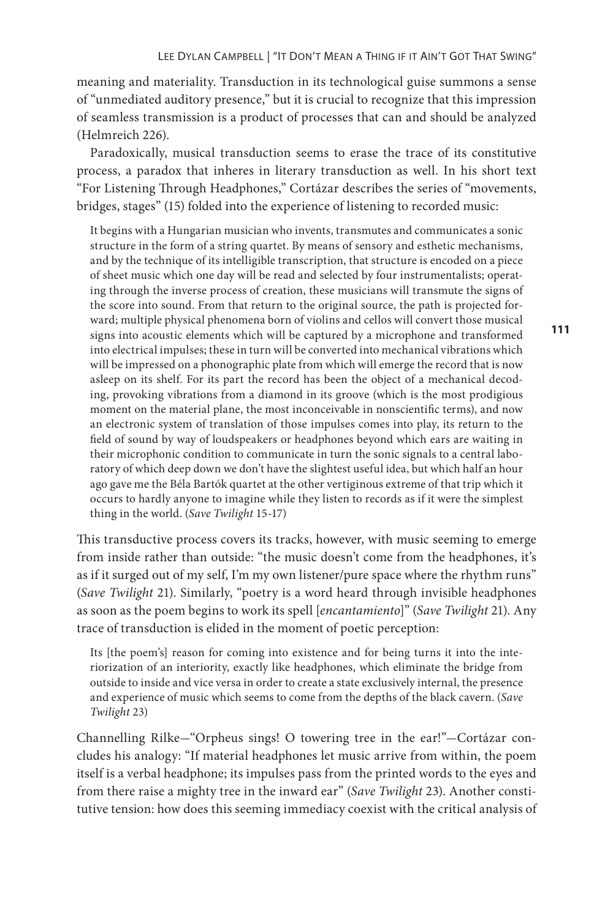meaning and materiality. Transduction in its technological guise summons a sense of "unmediated auditory presence," but it is crucial to recognize that this impression of seamless transmission is a product of processes that can and should be analyzed (Helmreich 226).

Paradoxically, musical transduction seems to erase the trace of its constitutive process, a paradox that inheres in literary transduction as well. In his short text "For Listening Through Headphones," Cortázar describes the series of "movements, bridges, stages" (15) folded into the experience of listening to recorded music:

It begins with a Hungarian musician who invents, transmutes and communicates a sonic structure in the form of a string quartet. By means of sensory and esthetic mechanisms, and by the technique of its intelligible transcription, that structure is encoded on a piece of sheet music which one day will be read and selected by four instrumentalists; operating through the inverse process of creation, these musicians will transmute the signs of the score into sound. From that return to the original source, the path is projected forward; multiple physical phenomena born of violins and cellos will convert those musical signs into acoustic elements which will be captured by a microphone and transformed into electrical impulses; these in turn will be converted into mechanical vibrations which will be impressed on a phonographic plate from which will emerge the record that is now asleep on its shelf. For its part the record has been the object of a mechanical decoding, provoking vibrations from a diamond in its groove (which is the most prodigious moment on the material plane, the most inconceivable in nonscientific terms), and now an electronic system of translation of those impulses comes into play, its return to the field of sound by way of loudspeakers or headphones beyond which ears are waiting in their microphonic condition to communicate in turn the sonic signals to a central laboratory of which deep down we don't have the slightest useful idea, but which half an hour ago gave me the Béla Bartók quartet at the other vertiginous extreme of that trip which it occurs to hardly anyone to imagine while they listen to records as if it were the simplest thing in the world. (*Save Twilight* 15-17)

This transductive process covers its tracks, however, with music seeming to emerge from inside rather than outside: "the music doesn't come from the headphones, it's as if it surged out of my self, I'm my own listener/pure space where the rhythm runs" (*Save Twilight* 21). Similarly, "poetry is a word heard through invisible headphones as soon as the poem begins to work its spell [*encantamiento*]" (*Save Twilight* 21). Any trace of transduction is elided in the moment of poetic perception:

Its [the poem's] reason for coming into existence and for being turns it into the interiorization of an interiority, exactly like headphones, which eliminate the bridge from outside to inside and vice versa in order to create a state exclusively internal, the presence and experience of music which seems to come from the depths of the black cavern. (*Save Twilight* 23)

Channelling Rilke-"Orpheus sings! O towering tree in the ear!"-Cortázar concludes his analogy: "If material headphones let music arrive from within, the poem itself is a verbal headphone; its impulses pass from the printed words to the eyes and from there raise a mighty tree in the inward ear" (*Save Twilight* 23). Another constitutive tension: how does this seeming immediacy coexist with the critical analysis of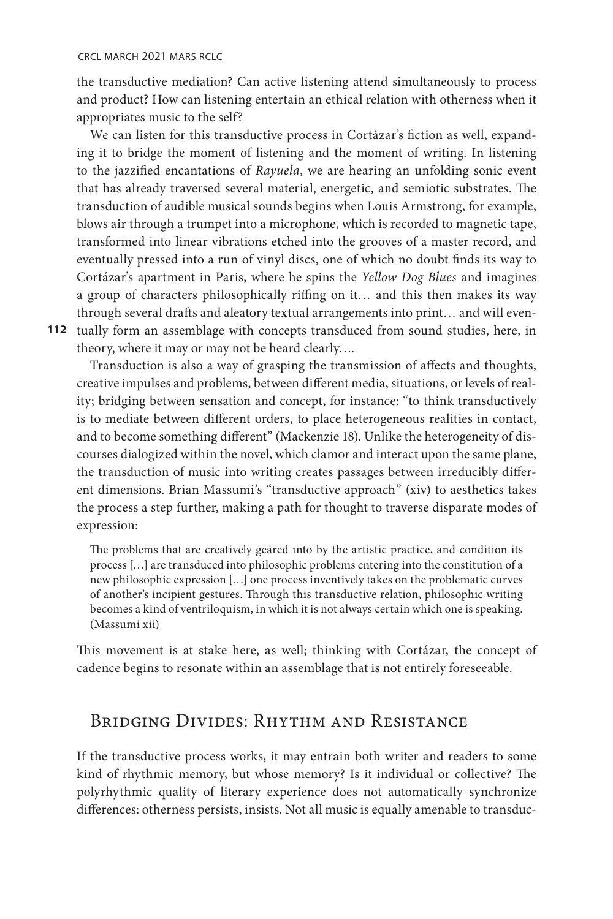the transductive mediation? Can active listening attend simultaneously to process and product? How can listening entertain an ethical relation with otherness when it appropriates music to the self?

**112**  tually form an assemblage with concepts transduced from sound studies, here, in We can listen for this transductive process in Cortázar's fiction as well, expanding it to bridge the moment of listening and the moment of writing. In listening to the jazzified encantations of *Rayuela*, we are hearing an unfolding sonic event that has already traversed several material, energetic, and semiotic substrates. The transduction of audible musical sounds begins when Louis Armstrong, for example, blows air through a trumpet into a microphone, which is recorded to magnetic tape, transformed into linear vibrations etched into the grooves of a master record, and eventually pressed into a run of vinyl discs, one of which no doubt finds its way to Cortázar's apartment in Paris, where he spins the *Yellow Dog Blues* and imagines a group of characters philosophically riffing on it… and this then makes its way through several drafts and aleatory textual arrangements into print… and will even-

theory, where it may or may not be heard clearly….

Transduction is also a way of grasping the transmission of affects and thoughts, creative impulses and problems, between different media, situations, or levels of reality; bridging between sensation and concept, for instance: "to think transductively is to mediate between different orders, to place heterogeneous realities in contact, and to become something different" (Mackenzie 18). Unlike the heterogeneity of discourses dialogized within the novel, which clamor and interact upon the same plane, the transduction of music into writing creates passages between irreducibly different dimensions. Brian Massumi's "transductive approach" (xiv) to aesthetics takes the process a step further, making a path for thought to traverse disparate modes of expression:

The problems that are creatively geared into by the artistic practice, and condition its process […] are transduced into philosophic problems entering into the constitution of a new philosophic expression […] one process inventively takes on the problematic curves of another's incipient gestures. Through this transductive relation, philosophic writing becomes a kind of ventriloquism, in which it is not always certain which one is speaking. (Massumi xii)

This movement is at stake here, as well; thinking with Cortázar, the concept of cadence begins to resonate within an assemblage that is not entirely foreseeable.

### Bridging Divides: Rhythm and Resistance

If the transductive process works, it may entrain both writer and readers to some kind of rhythmic memory, but whose memory? Is it individual or collective? The polyrhythmic quality of literary experience does not automatically synchronize differences: otherness persists, insists. Not all music is equally amenable to transduc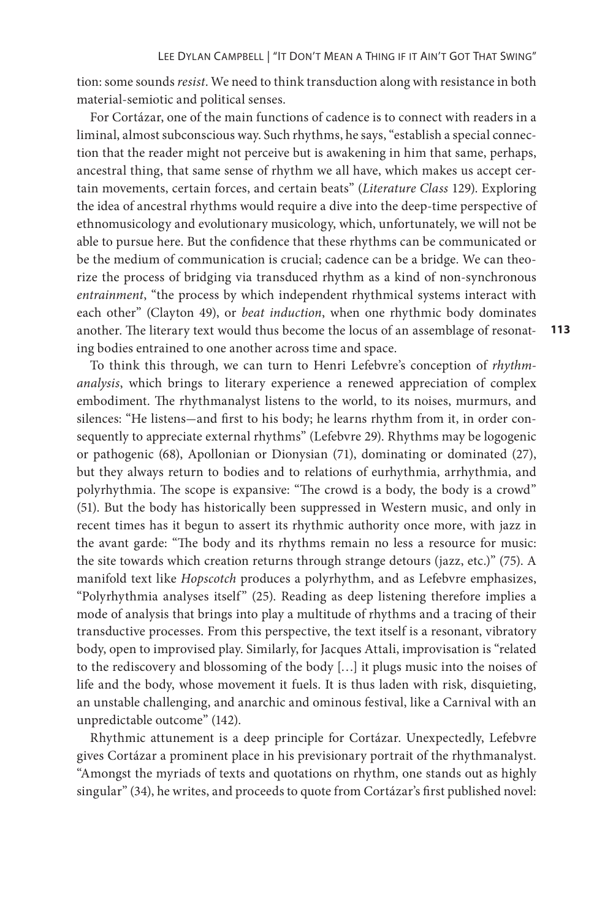tion: some sounds *resist*. We need to think transduction along with resistance in both material-semiotic and political senses.

For Cortázar, one of the main functions of cadence is to connect with readers in a liminal, almost subconscious way. Such rhythms, he says, "establish a special connection that the reader might not perceive but is awakening in him that same, perhaps, ancestral thing, that same sense of rhythm we all have, which makes us accept certain movements, certain forces, and certain beats" (*Literature Class* 129). Exploring the idea of ancestral rhythms would require a dive into the deep-time perspective of ethnomusicology and evolutionary musicology, which, unfortunately, we will not be able to pursue here. But the confidence that these rhythms can be communicated or be the medium of communication is crucial; cadence can be a bridge. We can theorize the process of bridging via transduced rhythm as a kind of non-synchronous *entrainment*, "the process by which independent rhythmical systems interact with each other" (Clayton 49), or *beat induction*, when one rhythmic body dominates another. The literary text would thus become the locus of an assemblage of resonating bodies entrained to one another across time and space.

To think this through, we can turn to Henri Lefebvre's conception of *rhythmanalysis*, which brings to literary experience a renewed appreciation of complex embodiment. The rhythmanalyst listens to the world, to its noises, murmurs, and silences: "He listens-and first to his body; he learns rhythm from it, in order consequently to appreciate external rhythms" (Lefebvre 29). Rhythms may be logogenic or pathogenic (68), Apollonian or Dionysian (71), dominating or dominated (27), but they always return to bodies and to relations of eurhythmia, arrhythmia, and polyrhythmia. The scope is expansive: "The crowd is a body, the body is a crowd" (51). But the body has historically been suppressed in Western music, and only in recent times has it begun to assert its rhythmic authority once more, with jazz in the avant garde: "The body and its rhythms remain no less a resource for music: the site towards which creation returns through strange detours (jazz, etc.)" (75). A manifold text like *Hopscotch* produces a polyrhythm, and as Lefebvre emphasizes, "Polyrhythmia analyses itself" (25). Reading as deep listening therefore implies a mode of analysis that brings into play a multitude of rhythms and a tracing of their transductive processes. From this perspective, the text itself is a resonant, vibratory body, open to improvised play. Similarly, for Jacques Attali, improvisation is "related to the rediscovery and blossoming of the body […] it plugs music into the noises of life and the body, whose movement it fuels. It is thus laden with risk, disquieting, an unstable challenging, and anarchic and ominous festival, like a Carnival with an unpredictable outcome" (142).

Rhythmic attunement is a deep principle for Cortázar. Unexpectedly, Lefebvre gives Cortázar a prominent place in his previsionary portrait of the rhythmanalyst. "Amongst the myriads of texts and quotations on rhythm, one stands out as highly singular" (34), he writes, and proceeds to quote from Cortázar's first published novel:

**113**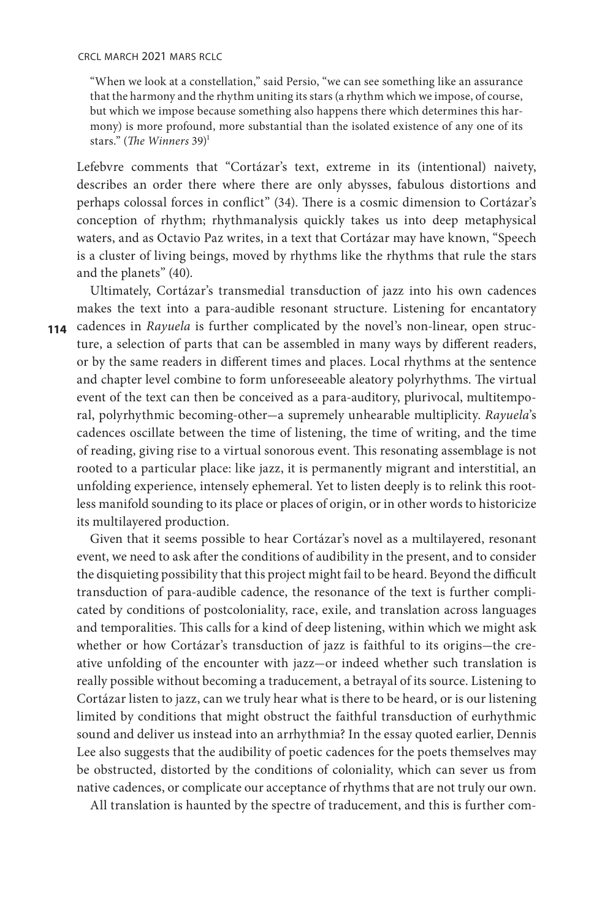"When we look at a constellation," said Persio, "we can see something like an assurance that the harmony and the rhythm uniting its stars (a rhythm which we impose, of course, but which we impose because something also happens there which determines this harmony) is more profound, more substantial than the isolated existence of any one of its stars." (*The Winners* 39)1

Lefebvre comments that "Cortázar's text, extreme in its (intentional) naivety, describes an order there where there are only abysses, fabulous distortions and perhaps colossal forces in conflict" (34). There is a cosmic dimension to Cortázar's conception of rhythm; rhythmanalysis quickly takes us into deep metaphysical waters, and as Octavio Paz writes, in a text that Cortázar may have known, "Speech is a cluster of living beings, moved by rhythms like the rhythms that rule the stars and the planets" (40).

**114**  cadences in *Rayuela* is further complicated by the novel's non-linear, open struc-Ultimately, Cortázar's transmedial transduction of jazz into his own cadences makes the text into a para-audible resonant structure. Listening for encantatory ture, a selection of parts that can be assembled in many ways by different readers, or by the same readers in different times and places. Local rhythms at the sentence and chapter level combine to form unforeseeable aleatory polyrhythms. The virtual event of the text can then be conceived as a para-auditory, plurivocal, multitemporal, polyrhythmic becoming-other-a supremely unhearable multiplicity. *Rayuela*'s cadences oscillate between the time of listening, the time of writing, and the time of reading, giving rise to a virtual sonorous event. This resonating assemblage is not rooted to a particular place: like jazz, it is permanently migrant and interstitial, an unfolding experience, intensely ephemeral. Yet to listen deeply is to relink this rootless manifold sounding to its place or places of origin, or in other words to historicize its multilayered production.

Given that it seems possible to hear Cortázar's novel as a multilayered, resonant event, we need to ask after the conditions of audibility in the present, and to consider the disquieting possibility that this project might fail to be heard. Beyond the difficult transduction of para-audible cadence, the resonance of the text is further complicated by conditions of postcoloniality, race, exile, and translation across languages and temporalities. This calls for a kind of deep listening, within which we might ask whether or how Cortázar's transduction of jazz is faithful to its origins-the creative unfolding of the encounter with jazz-or indeed whether such translation is really possible without becoming a traducement, a betrayal of its source. Listening to Cortázar listen to jazz, can we truly hear what is there to be heard, or is our listening limited by conditions that might obstruct the faithful transduction of eurhythmic sound and deliver us instead into an arrhythmia? In the essay quoted earlier, Dennis Lee also suggests that the audibility of poetic cadences for the poets themselves may be obstructed, distorted by the conditions of coloniality, which can sever us from native cadences, or complicate our acceptance of rhythms that are not truly our own.

All translation is haunted by the spectre of traducement, and this is further com-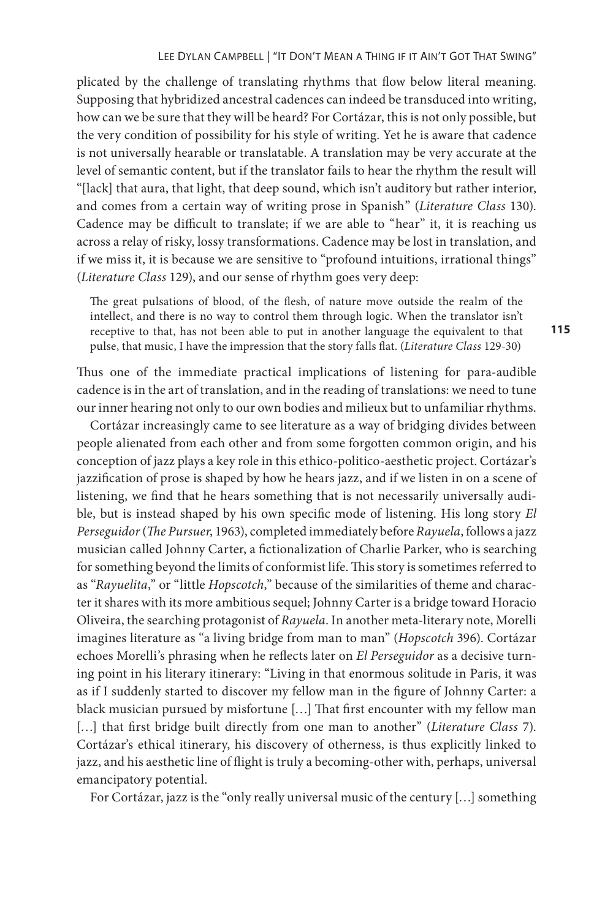plicated by the challenge of translating rhythms that flow below literal meaning. Supposing that hybridized ancestral cadences can indeed be transduced into writing, how can we be sure that they will be heard? For Cortázar, this is not only possible, but the very condition of possibility for his style of writing. Yet he is aware that cadence is not universally hearable or translatable. A translation may be very accurate at the level of semantic content, but if the translator fails to hear the rhythm the result will "[lack] that aura, that light, that deep sound, which isn't auditory but rather interior, and comes from a certain way of writing prose in Spanish" (*Literature Class* 130). Cadence may be difficult to translate; if we are able to "hear" it, it is reaching us across a relay of risky, lossy transformations. Cadence may be lost in translation, and if we miss it, it is because we are sensitive to "profound intuitions, irrational things" (*Literature Class* 129), and our sense of rhythm goes very deep:

The great pulsations of blood, of the flesh, of nature move outside the realm of the intellect, and there is no way to control them through logic. When the translator isn't receptive to that, has not been able to put in another language the equivalent to that pulse, that music, I have the impression that the story falls flat. (*Literature Class* 129-30)

Thus one of the immediate practical implications of listening for para-audible cadence is in the art of translation, and in the reading of translations: we need to tune our inner hearing not only to our own bodies and milieux but to unfamiliar rhythms.

Cortázar increasingly came to see literature as a way of bridging divides between people alienated from each other and from some forgotten common origin, and his conception of jazz plays a key role in this ethico-politico-aesthetic project. Cortázar's jazzification of prose is shaped by how he hears jazz, and if we listen in on a scene of listening, we find that he hears something that is not necessarily universally audible, but is instead shaped by his own specific mode of listening. His long story *El Perseguidor* (*The Pursuer*, 1963), completed immediately before *Rayuela*, follows a jazz musician called Johnny Carter, a fictionalization of Charlie Parker, who is searching for something beyond the limits of conformist life. This story is sometimes referred to as "*Rayuelita*," or "little *Hopscotch*," because of the similarities of theme and character it shares with its more ambitious sequel; Johnny Carter is a bridge toward Horacio Oliveira, the searching protagonist of *Rayuela*. In another meta-literary note, Morelli imagines literature as "a living bridge from man to man" (*Hopscotch* 396). Cortázar echoes Morelli's phrasing when he reflects later on *El Perseguidor* as a decisive turning point in his literary itinerary: "Living in that enormous solitude in Paris, it was as if I suddenly started to discover my fellow man in the figure of Johnny Carter: a black musician pursued by misfortune […] That first encounter with my fellow man [...] that first bridge built directly from one man to another" (*Literature Class 7*). Cortázar's ethical itinerary, his discovery of otherness, is thus explicitly linked to jazz, and his aesthetic line of flight is truly a becoming-other with, perhaps, universal emancipatory potential.

For Cortázar, jazz is the "only really universal music of the century […] something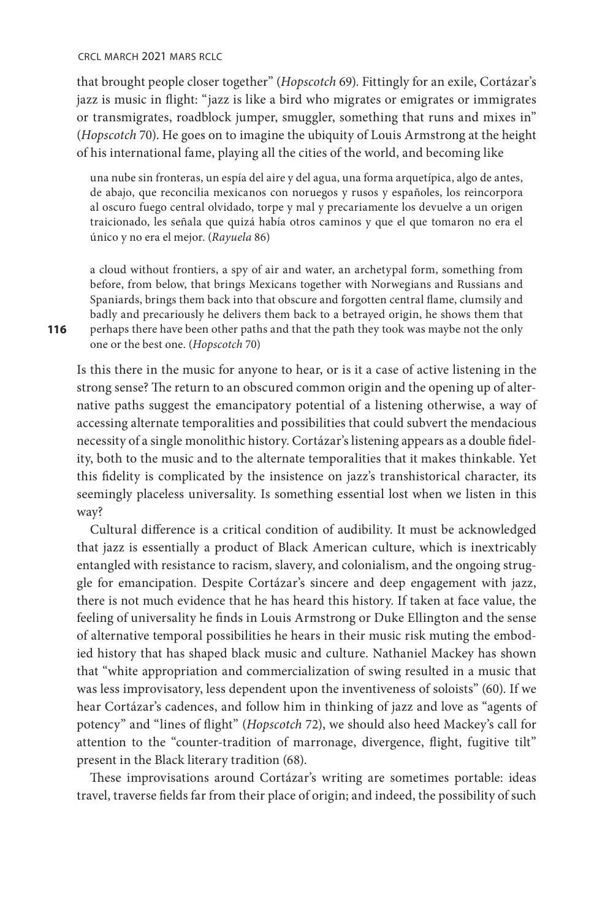that brought people closer together" (*Hopscotch* 69). Fittingly for an exile, Cortázar's jazz is music in flight: "jazz is like a bird who migrates or emigrates or immigrates or transmigrates, roadblock jumper, smuggler, something that runs and mixes in" (*Hopscotch* 70). He goes on to imagine the ubiquity of Louis Armstrong at the height of his international fame, playing all the cities of the world, and becoming like

una nube sin fronteras, un espía del aire y del agua, una forma arquetípica, algo de antes, de abajo, que reconcilia mexicanos con noruegos y rusos y españoles, los reincorpora al oscuro fuego central olvidado, torpe y mal y precariamente los devuelve a un origen traicionado, les señala que quizá había otros caminos y que el que tomaron no era el único y no era el mejor. (*Rayuela* 86)

a cloud without frontiers, a spy of air and water, an archetypal form, something from before, from below, that brings Mexicans together with Norwegians and Russians and Spaniards, brings them back into that obscure and forgotten central flame, clumsily and badly and precariously he delivers them back to a betrayed origin, he shows them that perhaps there have been other paths and that the path they took was maybe not the only one or the best one. (*Hopscotch* 70)

Is this there in the music for anyone to hear, or is it a case of active listening in the strong sense? The return to an obscured common origin and the opening up of alternative paths suggest the emancipatory potential of a listening otherwise, a way of accessing alternate temporalities and possibilities that could subvert the mendacious necessity of a single monolithic history. Cortázar's listening appears as a double fidelity, both to the music and to the alternate temporalities that it makes thinkable. Yet this fidelity is complicated by the insistence on jazz's transhistorical character, its seemingly placeless universality. Is something essential lost when we listen in this way?

Cultural difference is a critical condition of audibility. It must be acknowledged that jazz is essentially a product of Black American culture, which is inextricably entangled with resistance to racism, slavery, and colonialism, and the ongoing struggle for emancipation. Despite Cortázar's sincere and deep engagement with jazz, there is not much evidence that he has heard this history. If taken at face value, the feeling of universality he finds in Louis Armstrong or Duke Ellington and the sense of alternative temporal possibilities he hears in their music risk muting the embodied history that has shaped black music and culture. Nathaniel Mackey has shown that "white appropriation and commercialization of swing resulted in a music that was less improvisatory, less dependent upon the inventiveness of soloists" (60). If we hear Cortázar's cadences, and follow him in thinking of jazz and love as "agents of potency" and "lines of flight" (*Hopscotch* 72), we should also heed Mackey's call for attention to the "counter-tradition of marronage, divergence, flight, fugitive tilt" present in the Black literary tradition (68).

These improvisations around Cortázar's writing are sometimes portable: ideas travel, traverse fields far from their place of origin; and indeed, the possibility of such

**116**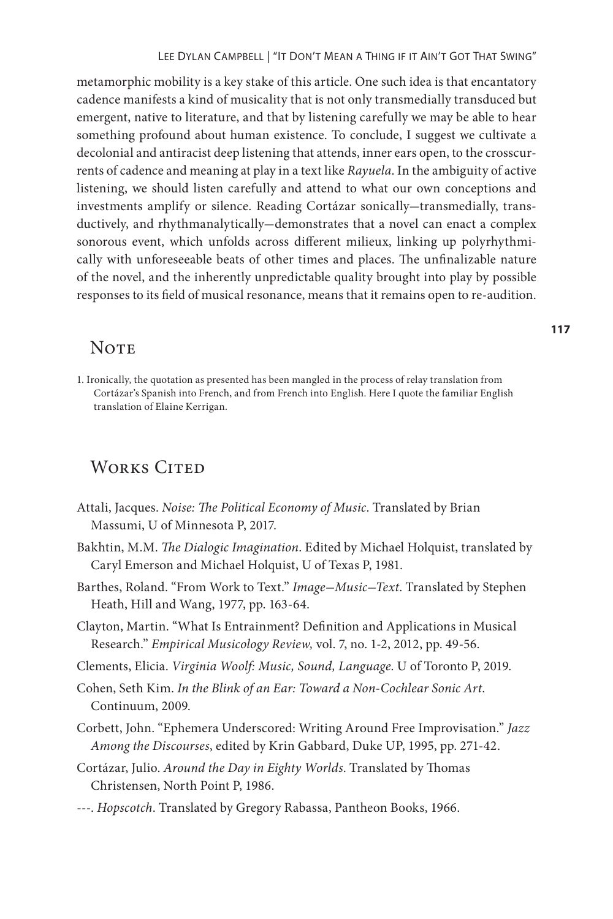metamorphic mobility is a key stake of this article. One such idea is that encantatory cadence manifests a kind of musicality that is not only transmedially transduced but emergent, native to literature, and that by listening carefully we may be able to hear something profound about human existence. To conclude, I suggest we cultivate a decolonial and antiracist deep listening that attends, inner ears open, to the crosscurrents of cadence and meaning at play in a text like *Rayuela*. In the ambiguity of active listening, we should listen carefully and attend to what our own conceptions and investments amplify or silence. Reading Cortázar sonically-transmedially, transductively, and rhythmanalytically-demonstrates that a novel can enact a complex sonorous event, which unfolds across different milieux, linking up polyrhythmically with unforeseeable beats of other times and places. The unfinalizable nature of the novel, and the inherently unpredictable quality brought into play by possible responses to its field of musical resonance, means that it remains open to re-audition.

#### **NOTE**

1. Ironically, the quotation as presented has been mangled in the process of relay translation from Cortázar's Spanish into French, and from French into English. Here I quote the familiar English translation of Elaine Kerrigan.

#### WORKS CITED

- Attali, Jacques. *Noise: The Political Economy of Music*. Translated by Brian Massumi, U of Minnesota P, 2017.
- Bakhtin, M.M. *The Dialogic Imagination*. Edited by Michael Holquist, translated by Caryl Emerson and Michael Holquist, U of Texas P, 1981.
- Barthes, Roland. "From Work to Text." *Image-Music-Text*. Translated by Stephen Heath, Hill and Wang, 1977, pp. 163-64.
- Clayton, Martin. "What Is Entrainment? Definition and Applications in Musical Research." *Empirical Musicology Review,* vol. 7, no. 1-2, 2012, pp. 49-56.
- Clements, Elicia. *Virginia Woolf: Music, Sound, Language*. U of Toronto P, 2019.
- Cohen, Seth Kim. *In the Blink of an Ear: Toward a Non-Cochlear Sonic Art*. Continuum, 2009.
- Corbett, John. "Ephemera Underscored: Writing Around Free Improvisation." *Jazz Among the Discourses*, edited by Krin Gabbard, Duke UP, 1995, pp. 271-42.
- Cortázar, Julio. *Around the Day in Eighty Worlds*. Translated by Thomas Christensen, North Point P, 1986.
- ---. *Hopscotch*. Translated by Gregory Rabassa, Pantheon Books, 1966.